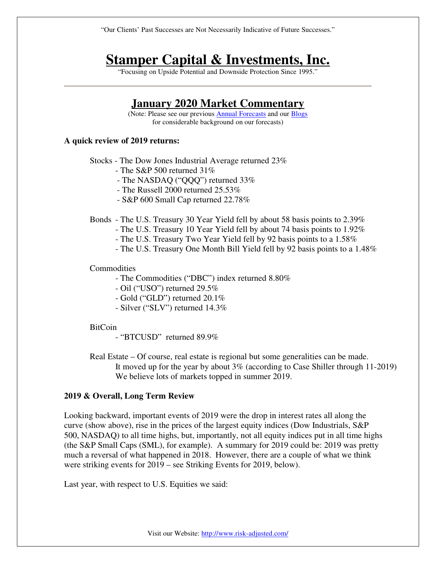"Our Clients' Past Successes are Not Necessarily Indicative of Future Successes."

# **Stamper Capital & Investments, Inc.**

"Focusing on Upside Potential and Downside Protection Since 1995."

## **January 2020 Market Commentary**

(Note: Please see our previous Annual Forecasts and our Blogs for considerable background on our forecasts)

#### **A quick review of 2019 returns:**

Stocks - The Dow Jones Industrial Average returned 23%

- The S&P 500 returned 31%
- The NASDAQ ("QQQ") returned 33%
- The Russell 2000 returned 25.53%
- S&P 600 Small Cap returned 22.78%

Bonds - The U.S. Treasury 30 Year Yield fell by about 58 basis points to 2.39%

- The U.S. Treasury 10 Year Yield fell by about 74 basis points to 1.92%
- The U.S. Treasury Two Year Yield fell by 92 basis points to a 1.58%
- The U.S. Treasury One Month Bill Yield fell by 92 basis points to a 1.48%

#### **Commodities**

- The Commodities ("DBC") index returned 8.80%

- Oil ("USO") returned 29.5%
- Gold ("GLD") returned 20.1%
- Silver ("SLV") returned 14.3%

#### BitCoin

- "BTCUSD" returned 89.9%

Real Estate – Of course, real estate is regional but some generalities can be made. It moved up for the year by about 3% (according to Case Shiller through 11-2019) We believe lots of markets topped in summer 2019.

#### **2019 & Overall, Long Term Review**

Looking backward, important events of 2019 were the drop in interest rates all along the curve (show above), rise in the prices of the largest equity indices (Dow Industrials, S&P 500, NASDAQ) to all time highs, but, importantly, not all equity indices put in all time highs (the S&P Small Caps (SML), for example). A summary for 2019 could be: 2019 was pretty much a reversal of what happened in 2018. However, there are a couple of what we think were striking events for 2019 – see Striking Events for 2019, below).

Last year, with respect to U.S. Equities we said: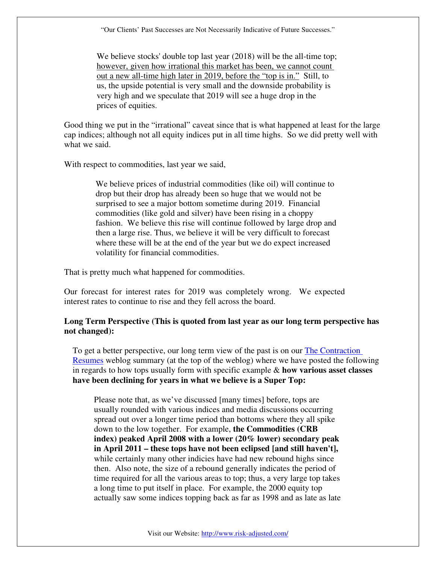"Our Clients' Past Successes are Not Necessarily Indicative of Future Successes."

We believe stocks' double top last year (2018) will be the all-time top; however, given how irrational this market has been, we cannot count out a new all-time high later in 2019, before the "top is in." Still, to us, the upside potential is very small and the downside probability is very high and we speculate that 2019 will see a huge drop in the prices of equities.

Good thing we put in the "irrational" caveat since that is what happened at least for the large cap indices; although not all equity indices put in all time highs. So we did pretty well with what we said.

With respect to commodities, last year we said,

We believe prices of industrial commodities (like oil) will continue to drop but their drop has already been so huge that we would not be surprised to see a major bottom sometime during 2019. Financial commodities (like gold and silver) have been rising in a choppy fashion. We believe this rise will continue followed by large drop and then a large rise. Thus, we believe it will be very difficult to forecast where these will be at the end of the year but we do expect increased volatility for financial commodities.

That is pretty much what happened for commodities.

Our forecast for interest rates for 2019 was completely wrong. We expected interest rates to continue to rise and they fell across the board.

### **Long Term Perspective (This is quoted from last year as our long term perspective has not changed):**

To get a better perspective, our long term view of the past is on our The Contraction Resumes weblog summary (at the top of the weblog) where we have posted the following in regards to how tops usually form with specific example & **how various asset classes have been declining for years in what we believe is a Super Top:**

Please note that, as we've discussed [many times] before, tops are usually rounded with various indices and media discussions occurring spread out over a longer time period than bottoms where they all spike down to the low together. For example, **the Commodities (CRB index) peaked April 2008 with a lower (20% lower) secondary peak in April 2011 – these tops have not been eclipsed [and still haven't],**  while certainly many other indicies have had new rebound highs since then. Also note, the size of a rebound generally indicates the period of time required for all the various areas to top; thus, a very large top takes a long time to put itself in place. For example, the 2000 equity top actually saw some indices topping back as far as 1998 and as late as late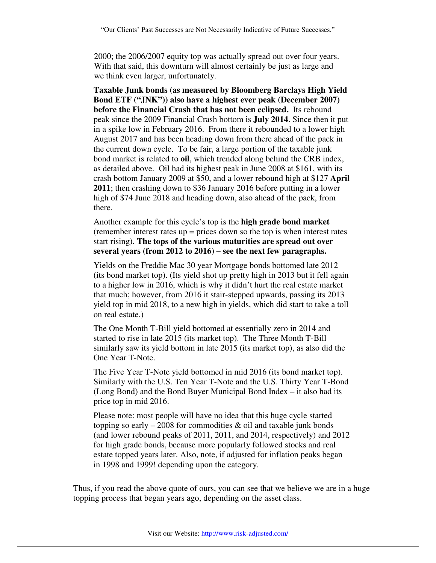2000; the 2006/2007 equity top was actually spread out over four years. With that said, this downturn will almost certainly be just as large and we think even larger, unfortunately.

**Taxable Junk bonds (as measured by Bloomberg Barclays High Yield Bond ETF ("JNK")) also have a highest ever peak (December 2007) before the Financial Crash that has not been eclipsed.** Its rebound peak since the 2009 Financial Crash bottom is **July 2014**. Since then it put in a spike low in February 2016. From there it rebounded to a lower high August 2017 and has been heading down from there ahead of the pack in the current down cycle. To be fair, a large portion of the taxable junk bond market is related to **oil**, which trended along behind the CRB index, as detailed above. Oil had its highest peak in June 2008 at \$161, with its crash bottom January 2009 at \$50, and a lower rebound high at \$127 **April 2011**; then crashing down to \$36 January 2016 before putting in a lower high of \$74 June 2018 and heading down, also ahead of the pack, from there.

Another example for this cycle's top is the **high grade bond market**  (remember interest rates up = prices down so the top is when interest rates start rising). **The tops of the various maturities are spread out over several years (from 2012 to 2016) – see the next few paragraphs.**

Yields on the Freddie Mac 30 year Mortgage bonds bottomed late 2012 (its bond market top). (Its yield shot up pretty high in 2013 but it fell again to a higher low in 2016, which is why it didn't hurt the real estate market that much; however, from 2016 it stair-stepped upwards, passing its 2013 yield top in mid 2018, to a new high in yields, which did start to take a toll on real estate.)

The One Month T-Bill yield bottomed at essentially zero in 2014 and started to rise in late 2015 (its market top). The Three Month T-Bill similarly saw its yield bottom in late 2015 (its market top), as also did the One Year T-Note.

The Five Year T-Note yield bottomed in mid 2016 (its bond market top). Similarly with the U.S. Ten Year T-Note and the U.S. Thirty Year T-Bond (Long Bond) and the Bond Buyer Municipal Bond Index – it also had its price top in mid 2016.

Please note: most people will have no idea that this huge cycle started topping so early – 2008 for commodities  $\&$  oil and taxable junk bonds (and lower rebound peaks of 2011, 2011, and 2014, respectively) and 2012 for high grade bonds, because more popularly followed stocks and real estate topped years later. Also, note, if adjusted for inflation peaks began in 1998 and 1999! depending upon the category.

Thus, if you read the above quote of ours, you can see that we believe we are in a huge topping process that began years ago, depending on the asset class.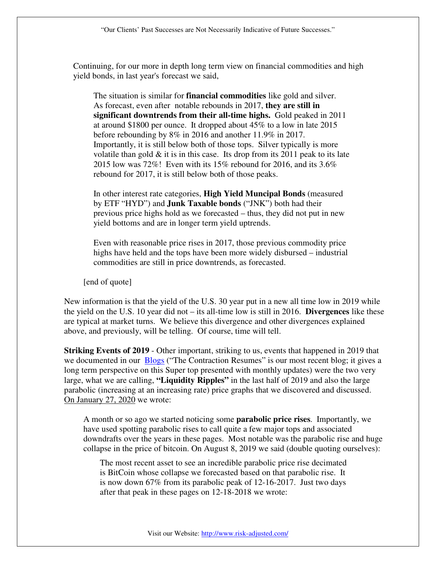Continuing, for our more in depth long term view on financial commodities and high yield bonds, in last year's forecast we said,

The situation is similar for **financial commodities** like gold and silver. As forecast, even after notable rebounds in 2017, **they are still in significant downtrends from their all-time highs.** Gold peaked in 2011 at around \$1800 per ounce. It dropped about 45% to a low in late 2015 before rebounding by 8% in 2016 and another 11.9% in 2017. Importantly, it is still below both of those tops. Silver typically is more volatile than gold  $\&$  it is in this case. Its drop from its 2011 peak to its late 2015 low was 72%! Even with its 15% rebound for 2016, and its 3.6% rebound for 2017, it is still below both of those peaks.

In other interest rate categories, **High Yield Muncipal Bonds** (measured by ETF "HYD") and **Junk Taxable bonds** ("JNK") both had their previous price highs hold as we forecasted – thus, they did not put in new yield bottoms and are in longer term yield uptrends.

Even with reasonable price rises in 2017, those previous commodity price highs have held and the tops have been more widely disbursed – industrial commodities are still in price downtrends, as forecasted.

[end of quote]

New information is that the yield of the U.S. 30 year put in a new all time low in 2019 while the yield on the U.S. 10 year did not – its all-time low is still in 2016. **Divergences** like these are typical at market turns. We believe this divergence and other divergences explained above, and previously, will be telling. Of course, time will tell.

**Striking Events of 2019** - Other important, striking to us, events that happened in 2019 that we documented in our **Blogs** ("The Contraction Resumes" is our most recent blog; it gives a long term perspective on this Super top presented with monthly updates) were the two very large, what we are calling, **"Liquidity Ripples"** in the last half of 2019 and also the large parabolic (increasing at an increasing rate) price graphs that we discovered and discussed. On January 27, 2020 we wrote:

A month or so ago we started noticing some **parabolic price rises**. Importantly, we have used spotting parabolic rises to call quite a few major tops and associated downdrafts over the years in these pages. Most notable was the parabolic rise and huge collapse in the price of bitcoin. On August 8, 2019 we said (double quoting ourselves):

The most recent asset to see an incredible parabolic price rise decimated is BitCoin whose collapse we forecasted based on that parabolic rise. It is now down 67% from its parabolic peak of 12-16-2017. Just two days after that peak in these pages on 12-18-2018 we wrote: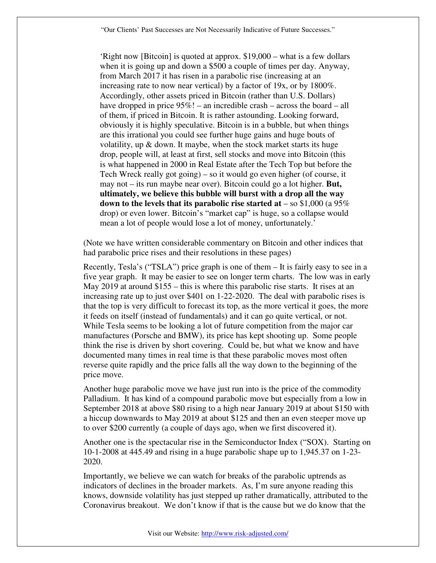'Right now [Bitcoin] is quoted at approx. \$19,000 – what is a few dollars when it is going up and down a \$500 a couple of times per day. Anyway, from March 2017 it has risen in a parabolic rise (increasing at an increasing rate to now near vertical) by a factor of 19x, or by 1800%. Accordingly, other assets priced in Bitcoin (rather than U.S. Dollars) have dropped in price  $95\%$ ! – an incredible crash – across the board – all of them, if priced in Bitcoin. It is rather astounding. Looking forward, obviously it is highly speculative. Bitcoin is in a bubble, but when things are this irrational you could see further huge gains and huge bouts of volatility, up  $\&$  down. It maybe, when the stock market starts its huge drop, people will, at least at first, sell stocks and move into Bitcoin (this is what happened in 2000 in Real Estate after the Tech Top but before the Tech Wreck really got going) – so it would go even higher (of course, it may not – its run maybe near over). Bitcoin could go a lot higher. **But, ultimately, we believe this bubble will burst with a drop all the way down to the levels that its parabolic rise started at** – so \$1,000 (a 95% drop) or even lower. Bitcoin's "market cap" is huge, so a collapse would mean a lot of people would lose a lot of money, unfortunately.'

(Note we have written considerable commentary on Bitcoin and other indices that had parabolic price rises and their resolutions in these pages)

Recently, Tesla's ("TSLA") price graph is one of them – It is fairly easy to see in a five year graph. It may be easier to see on longer term charts. The low was in early May 2019 at around \$155 – this is where this parabolic rise starts. It rises at an increasing rate up to just over \$401 on 1-22-2020. The deal with parabolic rises is that the top is very difficult to forecast its top, as the more vertical it goes, the more it feeds on itself (instead of fundamentals) and it can go quite vertical, or not. While Tesla seems to be looking a lot of future competition from the major car manufactures (Porsche and BMW), its price has kept shooting up. Some people think the rise is driven by short covering. Could be, but what we know and have documented many times in real time is that these parabolic moves most often reverse quite rapidly and the price falls all the way down to the beginning of the price move.

Another huge parabolic move we have just run into is the price of the commodity Palladium. It has kind of a compound parabolic move but especially from a low in September 2018 at above \$80 rising to a high near January 2019 at about \$150 with a hiccup downwards to May 2019 at about \$125 and then an even steeper move up to over \$200 currently (a couple of days ago, when we first discovered it).

Another one is the spectacular rise in the Semiconductor Index ("SOX). Starting on 10-1-2008 at 445.49 and rising in a huge parabolic shape up to 1,945.37 on 1-23- 2020.

Importantly, we believe we can watch for breaks of the parabolic uptrends as indicators of declines in the broader markets. As, I'm sure anyone reading this knows, downside volatility has just stepped up rather dramatically, attributed to the Coronavirus breakout. We don't know if that is the cause but we do know that the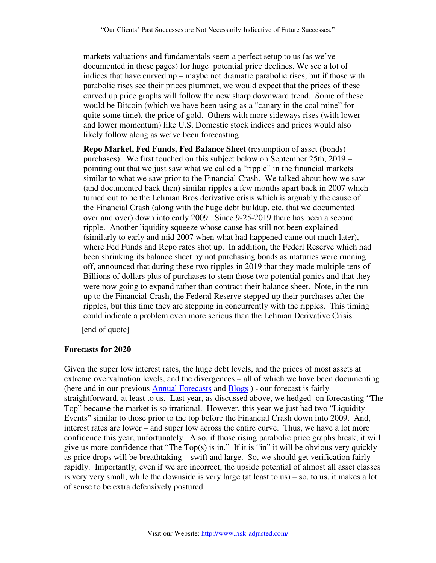markets valuations and fundamentals seem a perfect setup to us (as we've documented in these pages) for huge potential price declines. We see a lot of indices that have curved up – maybe not dramatic parabolic rises, but if those with parabolic rises see their prices plummet, we would expect that the prices of these curved up price graphs will follow the new sharp downward trend. Some of these would be Bitcoin (which we have been using as a "canary in the coal mine" for quite some time), the price of gold. Others with more sideways rises (with lower and lower momentum) like U.S. Domestic stock indices and prices would also likely follow along as we've been forecasting.

**Repo Market, Fed Funds, Fed Balance Sheet** (resumption of asset (bonds) purchases). We first touched on this subject below on September 25th, 2019 – pointing out that we just saw what we called a "ripple" in the financial markets similar to what we saw prior to the Financial Crash. We talked about how we saw (and documented back then) similar ripples a few months apart back in 2007 which turned out to be the Lehman Bros derivative crisis which is arguably the cause of the Financial Crash (along with the huge debt buildup, etc. that we documented over and over) down into early 2009. Since 9-25-2019 there has been a second ripple. Another liquidity squeeze whose cause has still not been explained (similarly to early and mid 2007 when what had happened came out much later), where Fed Funds and Repo rates shot up. In addition, the Federl Reserve which had been shrinking its balance sheet by not purchasing bonds as maturies were running off, announced that during these two ripples in 2019 that they made multiple tens of Billions of dollars plus of purchases to stem those two potential panics and that they were now going to expand rather than contract their balance sheet. Note, in the run up to the Financial Crash, the Federal Reserve stepped up their purchases after the ripples, but this time they are stepping in concurrently with the ripples. This timing could indicate a problem even more serious than the Lehman Derivative Crisis.

[end of quote]

#### **Forecasts for 2020**

Given the super low interest rates, the huge debt levels, and the prices of most assets at extreme overvaluation levels, and the divergences – all of which we have been documenting (here and in our previous Annual Forecasts and Blogs ) - our forecast is fairly straightforward, at least to us. Last year, as discussed above, we hedged on forecasting "The Top" because the market is so irrational. However, this year we just had two "Liquidity Events" similar to those prior to the top before the Financial Crash down into 2009. And, interest rates are lower – and super low across the entire curve. Thus, we have a lot more confidence this year, unfortunately. Also, if those rising parabolic price graphs break, it will give us more confidence that "The Top(s) is in." If it is "in" it will be obvious very quickly as price drops will be breathtaking – swift and large. So, we should get verification fairly rapidly. Importantly, even if we are incorrect, the upside potential of almost all asset classes is very very small, while the downside is very large (at least to us) – so, to us, it makes a lot of sense to be extra defensively postured.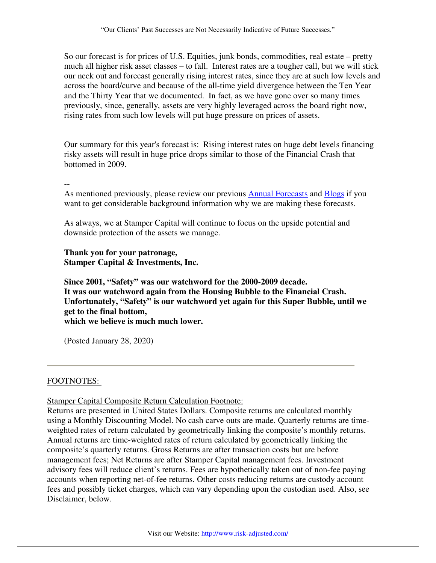So our forecast is for prices of U.S. Equities, junk bonds, commodities, real estate – pretty much all higher risk asset classes – to fall. Interest rates are a tougher call, but we will stick our neck out and forecast generally rising interest rates, since they are at such low levels and across the board/curve and because of the all-time yield divergence between the Ten Year and the Thirty Year that we documented. In fact, as we have gone over so many times previously, since, generally, assets are very highly leveraged across the board right now, rising rates from such low levels will put huge pressure on prices of assets.

Our summary for this year's forecast is: Rising interest rates on huge debt levels financing risky assets will result in huge price drops similar to those of the Financial Crash that bottomed in 2009.

--

As mentioned previously, please review our previous Annual Forecasts and Blogs if you want to get considerable background information why we are making these forecasts.

As always, we at Stamper Capital will continue to focus on the upside potential and downside protection of the assets we manage.

**Thank you for your patronage, Stamper Capital & Investments, Inc.**

**Since 2001, "Safety" was our watchword for the 2000-2009 decade. It was our watchword again from the Housing Bubble to the Financial Crash. Unfortunately, "Safety" is our watchword yet again for this Super Bubble, until we get to the final bottom, which we believe is much much lower.**

(Posted January 28, 2020)

### FOOTNOTES:

Stamper Capital Composite Return Calculation Footnote:

Returns are presented in United States Dollars. Composite returns are calculated monthly using a Monthly Discounting Model. No cash carve outs are made. Quarterly returns are timeweighted rates of return calculated by geometrically linking the composite's monthly returns. Annual returns are time-weighted rates of return calculated by geometrically linking the composite's quarterly returns. Gross Returns are after transaction costs but are before management fees; Net Returns are after Stamper Capital management fees. Investment advisory fees will reduce client's returns. Fees are hypothetically taken out of non-fee paying accounts when reporting net-of-fee returns. Other costs reducing returns are custody account fees and possibly ticket charges, which can vary depending upon the custodian used. Also, see Disclaimer, below.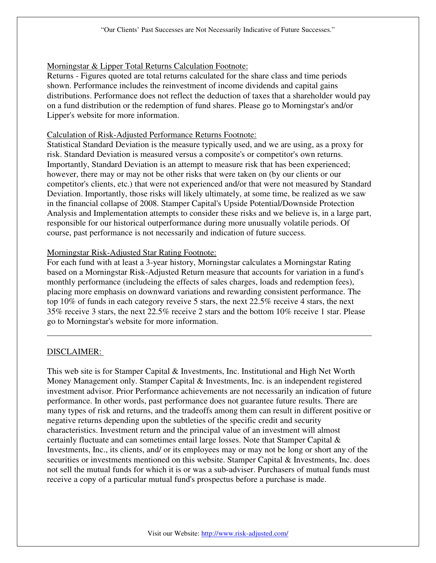## Morningstar & Lipper Total Returns Calculation Footnote:

Returns - Figures quoted are total returns calculated for the share class and time periods shown. Performance includes the reinvestment of income dividends and capital gains distributions. Performance does not reflect the deduction of taxes that a shareholder would pay on a fund distribution or the redemption of fund shares. Please go to Morningstar's and/or Lipper's website for more information.

### Calculation of Risk-Adjusted Performance Returns Footnote:

Statistical Standard Deviation is the measure typically used, and we are using, as a proxy for risk. Standard Deviation is measured versus a composite's or competitor's own returns. Importantly, Standard Deviation is an attempt to measure risk that has been experienced; however, there may or may not be other risks that were taken on (by our clients or our competitor's clients, etc.) that were not experienced and/or that were not measured by Standard Deviation. Importantly, those risks will likely ultimately, at some time, be realized as we saw in the financial collapse of 2008. Stamper Capital's Upside Potential/Downside Protection Analysis and Implementation attempts to consider these risks and we believe is, in a large part, responsible for our historical outperformance during more unusually volatile periods. Of course, past performance is not necessarily and indication of future success.

#### Morningstar Risk-Adjusted Star Rating Footnote:

For each fund with at least a 3-year history, Morningstar calculates a Morningstar Rating based on a Morningstar Risk-Adjusted Return measure that accounts for variation in a fund's monthly performance (includeing the effects of sales charges, loads and redemption fees), placing more emphasis on downward variations and rewarding consistent performance. The top 10% of funds in each category reveive 5 stars, the next 22.5% receive 4 stars, the next 35% receive 3 stars, the next 22.5% receive 2 stars and the bottom 10% receive 1 star. Please go to Morningstar's website for more information.

### DISCLAIMER:

This web site is for Stamper Capital & Investments, Inc. Institutional and High Net Worth Money Management only. Stamper Capital & Investments, Inc. is an independent registered investment advisor. Prior Performance achievements are not necessarily an indication of future performance. In other words, past performance does not guarantee future results. There are many types of risk and returns, and the tradeoffs among them can result in different positive or negative returns depending upon the subtleties of the specific credit and security characteristics. Investment return and the principal value of an investment will almost certainly fluctuate and can sometimes entail large losses. Note that Stamper Capital & Investments, Inc., its clients, and/ or its employees may or may not be long or short any of the securities or investments mentioned on this website. Stamper Capital & Investments, Inc. does not sell the mutual funds for which it is or was a sub-adviser. Purchasers of mutual funds must receive a copy of a particular mutual fund's prospectus before a purchase is made.